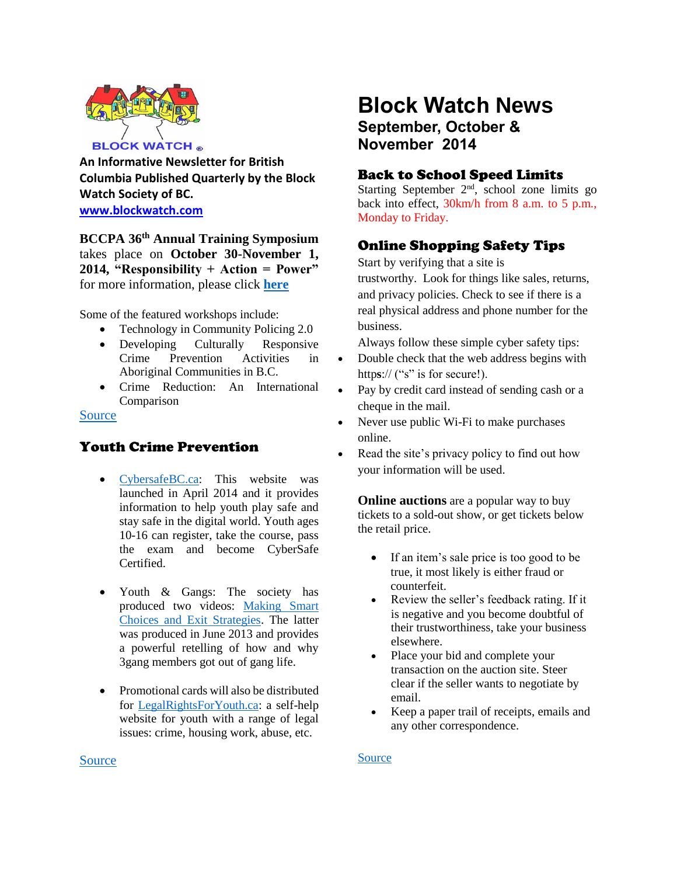

**An Informative Newsletter for British Columbia Published Quarterly by the Block Watch Society of BC. [www.blockwatch.com](http://www.blockwatch.com/)**

**BCCPA 36th Annual Training Symposium**  takes place on **October 30-November 1, 2014, "Responsibility + Action = Power"** for more information, please click **[here](http://bccpa.org/)**

Some of the featured workshops include:

- Technology in Community Policing 2.0
- Developing Culturally Responsive Crime Prevention Activities in Aboriginal Communities in B.C.
- Crime Reduction: An International Comparison

#### [Source](http://bccpa.org/)

# Youth Crime Prevention

- [CybersafeBC.ca:](http://cybersafebc.ca/) This website was launched in April 2014 and it provides information to help youth play safe and stay safe in the digital world. Youth ages 10-16 can register, take the course, pass the exam and become CyberSafe Certified.
- Youth & Gangs: The society has produced two videos: [Making Smart](http://www.justiceeducation.ca/resources/youth-and-gangs)  [Choices and Exit Strategies.](http://www.justiceeducation.ca/resources/youth-and-gangs) The latter was produced in June 2013 and provides a powerful retelling of how and why 3gang members got out of gang life.
- Promotional cards will also be distributed for [LegalRightsForYouth.ca:](http://www.legalrightsforyouth.ca/) a self-help website for youth with a range of legal issues: crime, housing work, abuse, etc.

# **Block Watch News September, October &**

**November 2014**

### Back to School Speed Limits

Starting September  $2<sup>nd</sup>$ , school zone limits go back into effect, 30km/h from 8 a.m. to 5 p.m., Monday to Friday.

# Online Shopping Safety Tips

Start by verifying that a site is

trustworthy. Look for things like sales, returns, and privacy policies. Check to see if there is a real physical address and phone number for the business.

Always follow these simple cyber safety tips:

- Double check that the web address begins with https:// ("s" is for secure!).
- Pay by credit card instead of sending cash or a cheque in the mail.
- Never use public Wi-Fi to make purchases online.
- Read the site's privacy policy to find out how your information will be used.

**Online auctions** are a popular way to buy tickets to a sold-out show, or get tickets below the retail price.

- If an item's sale price is too good to be true, it most likely is either fraud or counterfeit.
- Review the seller's feedback rating. If it is negative and you become doubtful of their trustworthiness, take your business elsewhere.
- Place your bid and complete your transaction on the auction site. Steer clear if the seller wants to negotiate by email.
- Keep a paper trail of receipts, emails and any other correspondence.

#### [Source](http://www.getcybersafe.gc.ca/cnt/blg/pst-20140703-eng.aspx)

#### [Source](http://bccpa.org/wp-content/uploads/2014/07/Symposium-Program1.pdf)